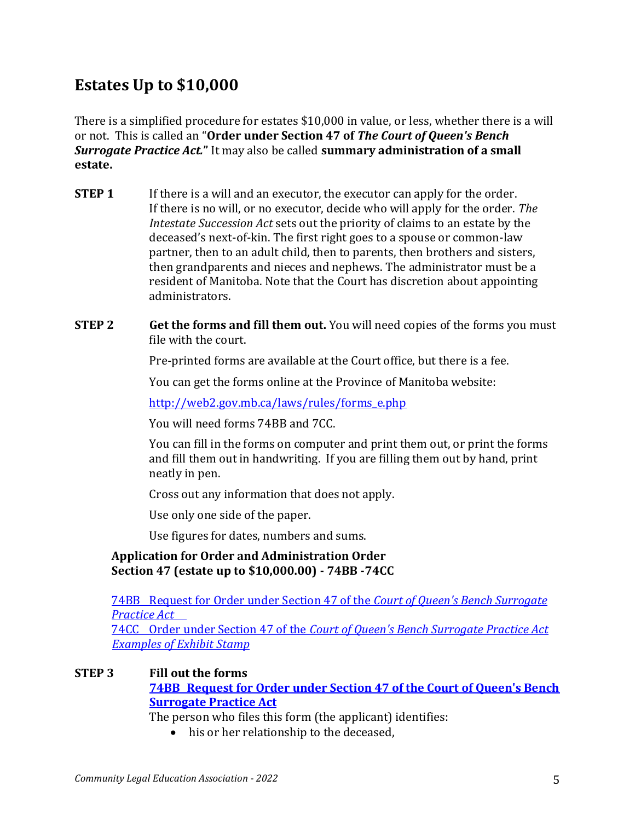# **Estates Up to \$10,000**

There is a simplified procedure for estates \$10,000 in value, or less, whether there is a will or not. This is called an "**Order under Section 47 of** *The Court of Queen's Bench Surrogate Practice Act.***"** It may also be called **summary administration of a small estate.**

- **STEP 1** If there is a will and an executor, the executor can apply for the order. If there is no will, or no executor, decide who will apply for the order. *The Intestate Succession Act* sets out the priority of claims to an estate by the deceased's next-of-kin. The first right goes to a spouse or common-law partner, then to an adult child, then to parents, then brothers and sisters, then grandparents and nieces and nephews. The administrator must be a resident of Manitoba. Note that the Court has discretion about appointing administrators.
- **STEP 2 Get the forms and fill them out.** You will need copies of the forms you must file with the court.

Pre-printed forms are available at the Court office, but there is a fee.

You can get the forms online at the Province of Manitoba website:

[http://web2.gov.mb.ca/laws/rules/forms\\_e.php](http://web2.gov.mb.ca/laws/rules/forms_e.php)

You will need forms 74BB and 7CC.

You can fill in the forms on computer and print them out, or print the forms and fill them out in handwriting. If you are filling them out by hand, print neatly in pen.

Cross out any information that does not apply.

Use only one side of the paper.

Use figures for dates, numbers and sums.

## **Application for Order and Administration Order Section 47 (estate up to \$10,000.00) - 74BB -74CC**

74BB [Request for Order under Section 47 of the](https://www.communitylegal.mb.ca/wp-content/uploads/FORM-74BB1.pdf) *Court of Queen's Bench Surrogate [Practice Act](https://www.communitylegal.mb.ca/wp-content/uploads/FORM-74BB1.pdf)*

74CC Order under Section 47 of the *[Court of Queen's Bench Surrogate Practice Act](https://www.communitylegal.mb.ca/wp-content/uploads/FORM-74CC2.pdf) Examples [of Exhibit Stamp](https://www.communitylegal.mb.ca/wp-content/uploads/Example-of-Exhibit-Stamps.pdf)*

## **STEP 3 Fill out the forms**

**74BB [Request for Order under Section 47 of the Court of Queen's Bench](https://www.communitylegal.mb.ca/wp-content/uploads/FORM-74BB1.pdf)  [Surrogate Practice Act](https://www.communitylegal.mb.ca/wp-content/uploads/FORM-74BB1.pdf)**

The person who files this form (the applicant) identifies:

• his or her relationship to the deceased,